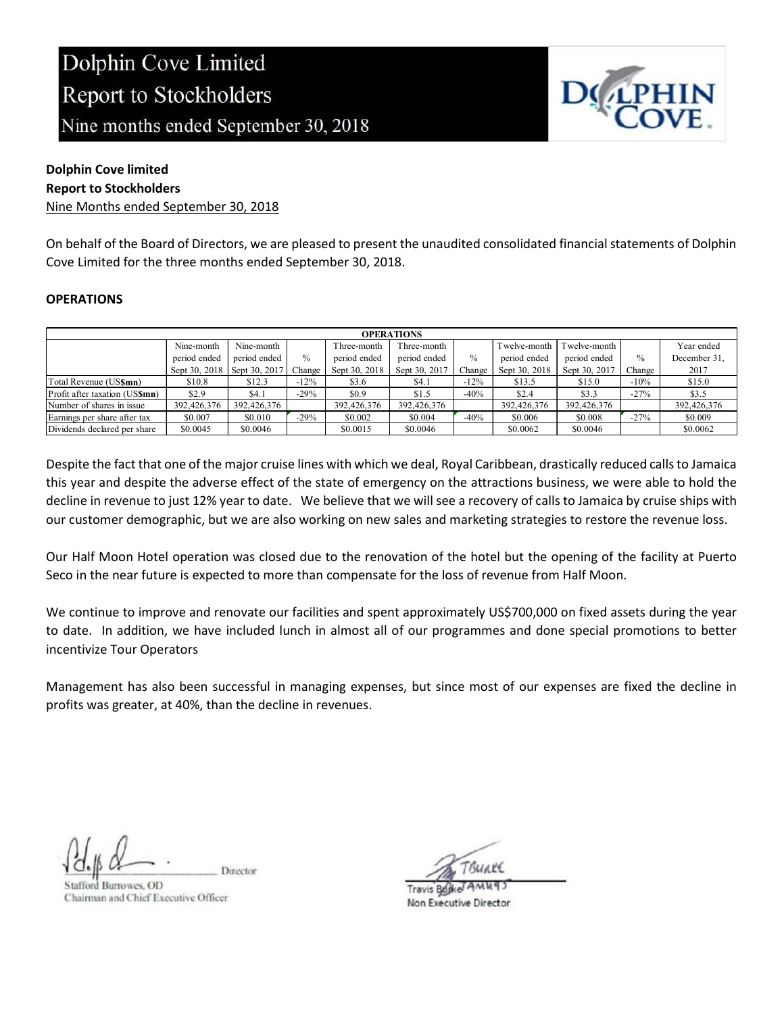

#### Dolphin Cove limited

#### Report to Stockholders

Nine Months ended September 30, 2018

On behalf of the Board of Directors, we are pleased to present the unaudited consolidated financial statements of Dolphin Cove Limited for the three months ended September 30, 2018.

#### **OPERATIONS**

| <b>OPERATIONS</b>              |               |               |               |               |               |        |               |               |        |              |
|--------------------------------|---------------|---------------|---------------|---------------|---------------|--------|---------------|---------------|--------|--------------|
|                                | Nine-month    | Nine-month    |               | Three-month   | Three-month   |        | Twelve-month  | Twelve-month  |        | Year ended   |
|                                | period ended  | period ended  | $\frac{0}{0}$ | period ended  | period ended  | $\%$   | period ended  | period ended  | $\%$   | December 31, |
|                                | Sept 30, 2018 | Sept 30, 2017 | Change        | Sept 30, 2018 | Sept 30, 2017 | Change | Sept 30, 2018 | Sept 30, 2017 | Change | 2017         |
| Total Revenue (US\$mn)         | \$10.8        | \$12.3        | $-12\%$       | \$3.6         | \$4.1         | $-12%$ | \$13.5        | \$15.0        | $-10%$ | \$15.0       |
| Profit after taxation (US\$mn) | \$2.9         | \$4.1         | $-29%$        | \$0.9         | \$1.5         | $-40%$ | \$2.4         | \$3.3         | $-27%$ | \$3.5        |
| Number of shares in issue      | 392,426,376   | 392,426,376   |               | 392,426,376   | 392,426,376   |        | 392,426,376   | 392,426,376   |        | 392,426,376  |
| Earnings per share after tax   | \$0.007       | \$0.010       | $-29%$        | \$0.002       | \$0.004       | $-40%$ | \$0.006       | \$0.008       | $-27%$ | \$0.009      |
| Dividends declared per share   | \$0.0045      | \$0.0046      |               | \$0.0015      | \$0.0046      |        | \$0.0062      | \$0.0046      |        | \$0.0062     |

Despite the fact that one of the major cruise lines with which we deal, Royal Caribbean, drastically reduced calls to Jamaica this year and despite the adverse effect of the state of emergency on the attractions business, we were able to hold the decline in revenue to just 12% year to date. We believe that we will see a recovery of calls to Jamaica by cruise ships with our customer demographic, but we are also working on new sales and marketing strategies to restore the revenue loss.

Our Half Moon Hotel operation was closed due to the renovation of the hotel but the opening of the facility at Puerto Seco in the near future is expected to more than compensate for the loss of revenue from Half Moon.

We continue to improve and renovate our facilities and spent approximately US\$700,000 on fixed assets during the year to date. In addition, we have included lunch in almost all of our programmes and done special promotions to better incentivize Tour Operators

Management has also been successful in managing expenses, but since most of our expenses are fixed the decline in profits was greater, at 40%, than the decline in revenues.

Director

tafford Burrowes, OD Chairman and Chief Executive Officer

**Travis Bujke** Non Executive Director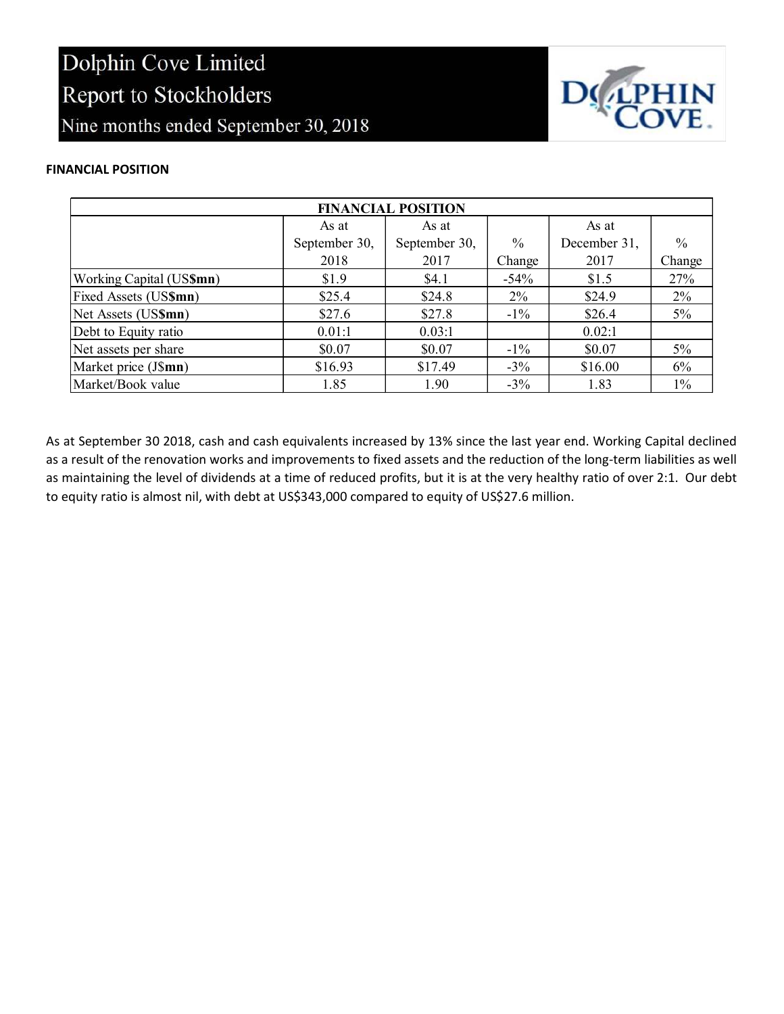

#### FINANCIAL POSITION

| <b>FINANCIAL POSITION</b> |               |               |               |              |               |  |  |
|---------------------------|---------------|---------------|---------------|--------------|---------------|--|--|
|                           | As at         | As at         |               | As at        |               |  |  |
|                           | September 30, | September 30, | $\frac{0}{0}$ | December 31, | $\frac{0}{0}$ |  |  |
|                           | 2018          | 2017          | Change        | 2017         | Change        |  |  |
| Working Capital (US\$mn)  | \$1.9         | \$4.1         | $-54%$        | \$1.5        | 27%           |  |  |
| Fixed Assets (US\$mn)     | \$25.4        | \$24.8        | $2\%$         | \$24.9       | $2\%$         |  |  |
| Net Assets (US\$mn)       | \$27.6        | \$27.8        | $-1\%$        | \$26.4       | $5\%$         |  |  |
| Debt to Equity ratio      | 0.01:1        | 0.03:1        |               | 0.02:1       |               |  |  |
| Net assets per share      | \$0.07        | \$0.07        | $-1\%$        | \$0.07       | $5\%$         |  |  |
| Market price (J\$mn)      | \$16.93       | \$17.49       | $-3\%$        | \$16.00      | 6%            |  |  |
| Market/Book value         | 1.85          | 1.90          | $-3\%$        | 1.83         | $1\%$         |  |  |

As at September 30 2018, cash and cash equivalents increased by 13% since the last year end. Working Capital declined as a result of the renovation works and improvements to fixed assets and the reduction of the long-term liabilities as well as maintaining the level of dividends at a time of reduced profits, but it is at the very healthy ratio of over 2:1. Our debt to equity ratio is almost nil, with debt at US\$343,000 compared to equity of US\$27.6 million.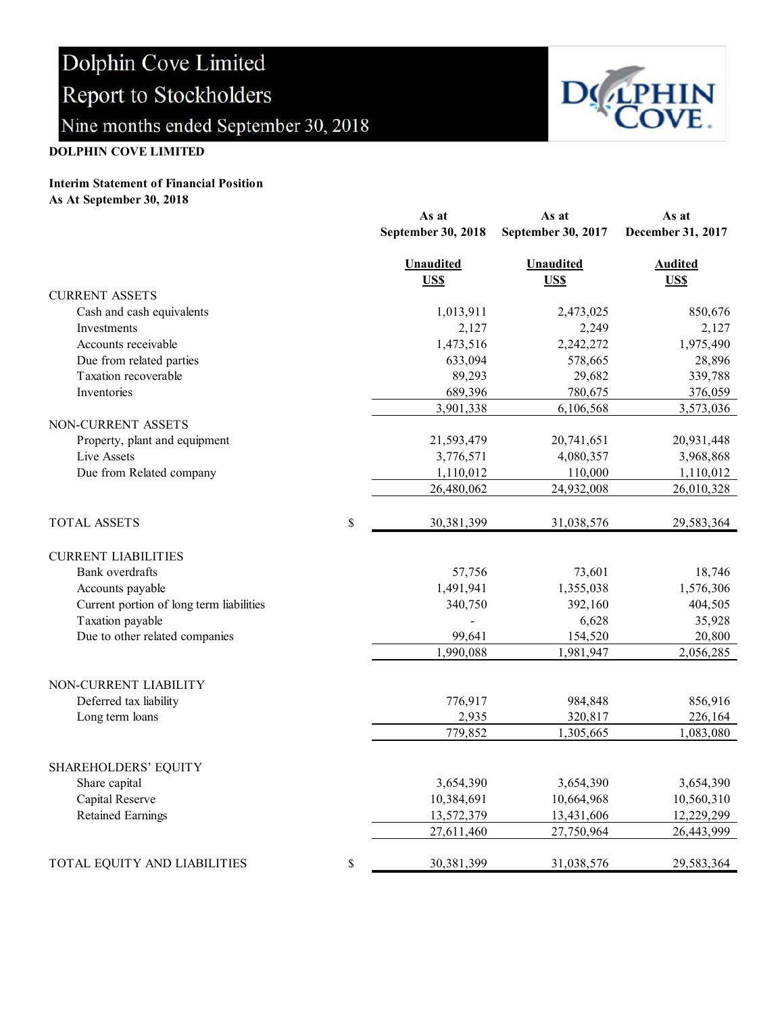

#### DOLPHIN COVE LIMITED

### Interim Statement of Financial Position

As At September 30, 2018

|                                          | As at              | As at              | As at             |  |
|------------------------------------------|--------------------|--------------------|-------------------|--|
|                                          | September 30, 2018 | September 30, 2017 | December 31, 2017 |  |
|                                          | <b>Unaudited</b>   | <b>Unaudited</b>   | <b>Audited</b>    |  |
|                                          | US\$               | <b>US\$</b>        | US\$              |  |
| <b>CURRENT ASSETS</b>                    |                    |                    |                   |  |
| Cash and cash equivalents                | 1,013,911          | 2,473,025          | 850,676           |  |
| Investments                              | 2,127              | 2,249              | 2,127             |  |
| Accounts receivable                      | 1,473,516          | 2,242,272          | 1,975,490         |  |
| Due from related parties                 | 633,094            | 578,665            | 28,896            |  |
| Taxation recoverable                     | 89,293             | 29,682             | 339,788           |  |
| Inventories                              | 689,396            | 780,675            | 376,059           |  |
|                                          | 3,901,338          | 6,106,568          | 3,573,036         |  |
| NON-CURRENT ASSETS                       |                    |                    |                   |  |
| Property, plant and equipment            | 21,593,479         | 20,741,651         | 20,931,448        |  |
| Live Assets                              | 3,776,571          | 4,080,357          | 3,968,868         |  |
| Due from Related company                 | 1,110,012          | 110,000            | 1,110,012         |  |
|                                          | 26,480,062         | 24,932,008         | 26,010,328        |  |
| <b>TOTAL ASSETS</b>                      | \$<br>30,381,399   | 31,038,576         | 29,583,364        |  |
| <b>CURRENT LIABILITIES</b>               |                    |                    |                   |  |
| Bank overdrafts                          | 57,756             | 73,601             | 18,746            |  |
| Accounts payable                         | 1,491,941          | 1,355,038          | 1,576,306         |  |
| Current portion of long term liabilities | 340,750            | 392,160            | 404,505           |  |
| Taxation payable                         |                    | 6,628              | 35,928            |  |
| Due to other related companies           | 99,641             | 154,520            | 20,800            |  |
|                                          | 1,990,088          | 1,981,947          | 2,056,285         |  |
| NON-CURRENT LIABILITY                    |                    |                    |                   |  |
| Deferred tax liability                   | 776,917            | 984,848            | 856,916           |  |
| Long term loans                          | 2,935              | 320,817            | 226,164           |  |
|                                          | 779,852            | 1,305,665          | 1,083,080         |  |
| <b>SHAREHOLDERS' EQUITY</b>              |                    |                    |                   |  |
| Share capital                            | 3,654,390          | 3,654,390          | 3,654,390         |  |
| Capital Reserve                          | 10,384,691         | 10,664,968         | 10,560,310        |  |
| <b>Retained Earnings</b>                 | 13,572,379         | 13,431,606         | 12,229,299        |  |
|                                          | 27,611,460         | 27,750,964         | 26,443,999        |  |
| TOTAL EQUITY AND LIABILITIES             | \$<br>30,381,399   | 31,038,576         | 29,583,364        |  |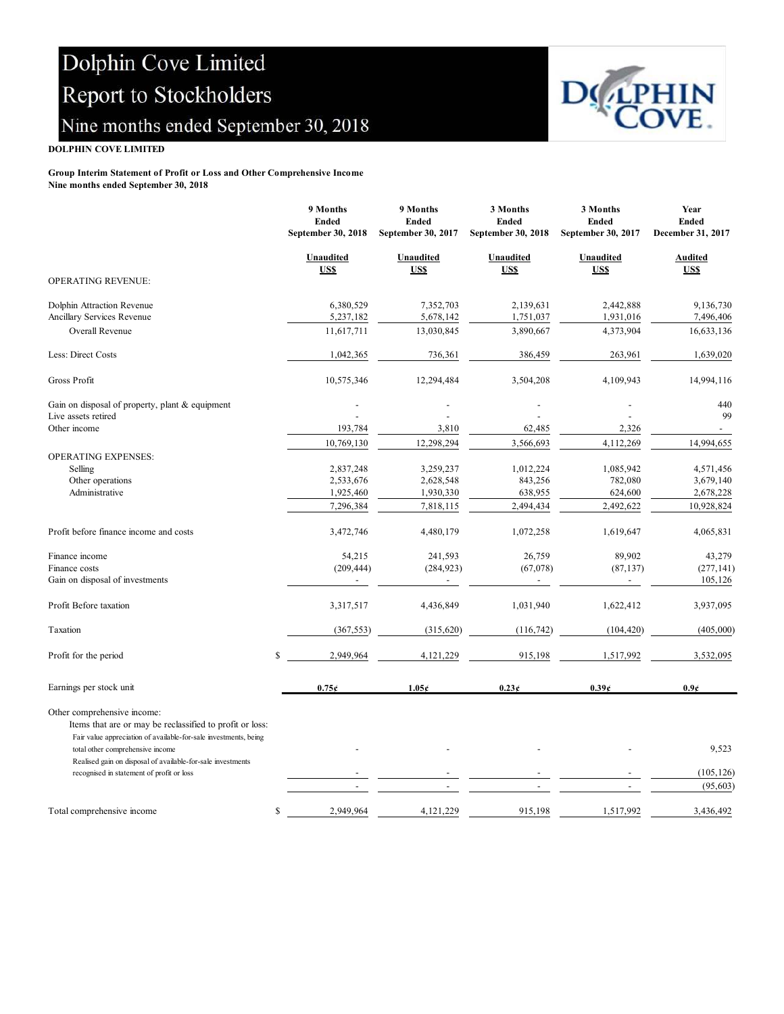

#### DOLPHIN COVE LIMITED

### Group Interim Statement of Profit or Loss and Other Comprehensive Income

Nine months ended September 30, 2018

|                                                                                                                                                             | 9 Months<br><b>Ended</b><br>September 30, 2018 | 9 Months<br><b>Ended</b><br>September 30, 2017 | 3 Months<br><b>Ended</b><br>September 30, 2018 | 3 Months<br><b>Ended</b><br>September 30, 2017 | Year<br><b>Ended</b><br>December 31, 2017 |
|-------------------------------------------------------------------------------------------------------------------------------------------------------------|------------------------------------------------|------------------------------------------------|------------------------------------------------|------------------------------------------------|-------------------------------------------|
| OPERATING REVENUE:                                                                                                                                          | Unaudited<br>US\$                              | <b>Unaudited</b><br>US\$                       | <b>Unaudited</b><br>US\$                       | Unaudited<br><b>USS</b>                        | <b>Audited</b><br>US\$                    |
| Dolphin Attraction Revenue                                                                                                                                  | 6,380,529                                      | 7,352,703                                      | 2,139,631                                      | 2,442,888                                      | 9,136,730                                 |
| Ancillary Services Revenue                                                                                                                                  | 5,237,182                                      | 5,678,142                                      | 1,751,037                                      | 1,931,016                                      | 7,496,406                                 |
| Overall Revenue                                                                                                                                             | 11,617,711                                     | 13,030,845                                     | 3,890,667                                      | 4,373,904                                      | 16,633,136                                |
| Less: Direct Costs                                                                                                                                          | 1,042,365                                      | 736,361                                        | 386,459                                        | 263,961                                        | 1,639,020                                 |
| Gross Profit                                                                                                                                                | 10,575,346                                     | 12,294,484                                     | 3,504,208                                      | 4,109,943                                      | 14,994,116                                |
| Gain on disposal of property, plant & equipment                                                                                                             |                                                |                                                |                                                |                                                | 440                                       |
| Live assets retired                                                                                                                                         |                                                |                                                |                                                |                                                | 99                                        |
| Other income                                                                                                                                                | 193,784                                        | 3,810                                          | 62,485                                         | 2,326                                          |                                           |
|                                                                                                                                                             | 10,769,130                                     | 12,298,294                                     | 3,566,693                                      | 4,112,269                                      | 14,994,655                                |
| OPERATING EXPENSES:                                                                                                                                         |                                                |                                                |                                                |                                                |                                           |
| Selling                                                                                                                                                     | 2,837,248                                      | 3,259,237                                      | 1,012,224                                      | 1,085,942                                      | 4,571,456                                 |
| Other operations                                                                                                                                            | 2,533,676                                      | 2,628,548                                      | 843,256                                        | 782,080                                        | 3,679,140                                 |
| Administrative                                                                                                                                              | 1,925,460                                      | 1,930,330                                      | 638,955                                        | 624,600                                        | 2,678,228                                 |
|                                                                                                                                                             | 7,296,384                                      | 7,818,115                                      | 2,494,434                                      | 2,492,622                                      | 10,928,824                                |
| Profit before finance income and costs                                                                                                                      | 3,472,746                                      | 4,480,179                                      | 1,072,258                                      | 1,619,647                                      | 4,065,831                                 |
| Finance income                                                                                                                                              | 54,215                                         | 241,593                                        | 26,759                                         | 89,902                                         | 43,279                                    |
| Finance costs                                                                                                                                               | (209, 444)                                     | (284, 923)                                     | (67,078)                                       | (87, 137)                                      | (277, 141)                                |
| Gain on disposal of investments                                                                                                                             |                                                |                                                |                                                |                                                | 105,126                                   |
| Profit Before taxation                                                                                                                                      | 3,317,517                                      | 4,436,849                                      | 1,031,940                                      | 1,622,412                                      | 3,937,095                                 |
| Taxation                                                                                                                                                    | (367, 553)                                     | (315, 620)                                     | (116, 742)                                     | (104, 420)                                     | (405,000)                                 |
| Profit for the period                                                                                                                                       | \$<br>2,949,964                                | 4,121,229                                      | 915,198                                        | 1,517,992                                      | 3,532,095                                 |
| Earnings per stock unit                                                                                                                                     | 0.75c                                          | 1.05c                                          | 0.23c                                          | 0.39c                                          | $0.9\epsilon$                             |
| Other comprehensive income:<br>Items that are or may be reclassified to profit or loss:<br>Fair value appreciation of available-for-sale investments, being |                                                |                                                |                                                |                                                |                                           |
| total other comprehensive income<br>Realised gain on disposal of available-for-sale investments                                                             |                                                |                                                |                                                |                                                | 9,523                                     |
| recognised in statement of profit or loss                                                                                                                   |                                                |                                                |                                                |                                                | (105, 126)                                |
|                                                                                                                                                             |                                                |                                                |                                                |                                                | (95, 603)                                 |
| Total comprehensive income                                                                                                                                  | 2,949,964<br>\$                                | 4,121,229                                      | 915,198                                        | 1,517,992                                      | 3,436,492                                 |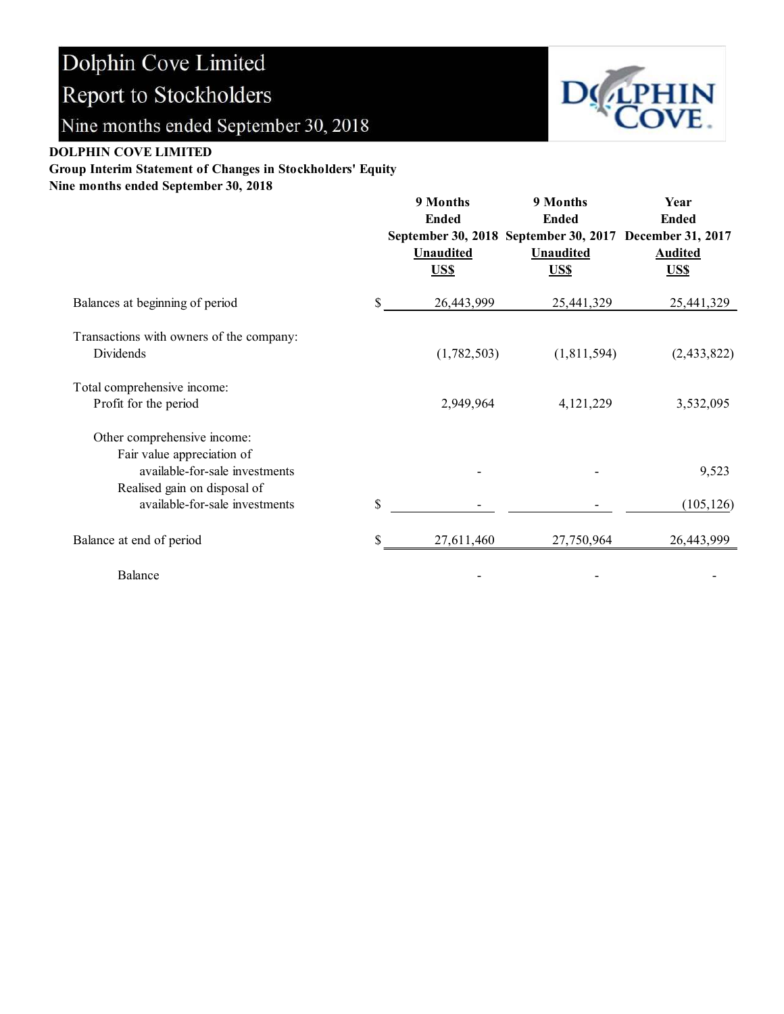

#### DOLPHIN COVE LIMITED

Group Interim Statement of Changes in Stockholders' Equity

Nine months ended September 30, 2018

|                                                                                                                             | 9 Months<br><b>Ended</b><br>September 30, 2018 September 30, 2017 December 31, 2017<br><b>Unaudited</b><br>US\$ |             | 9 Months<br><b>Ended</b><br><b>Unaudited</b><br>US\$ | Year<br><b>Ended</b><br><b>Audited</b><br>US\$ |  |
|-----------------------------------------------------------------------------------------------------------------------------|-----------------------------------------------------------------------------------------------------------------|-------------|------------------------------------------------------|------------------------------------------------|--|
| Balances at beginning of period                                                                                             | \$                                                                                                              | 26,443,999  | 25,441,329                                           | 25,441,329                                     |  |
| Transactions with owners of the company:<br>Dividends                                                                       |                                                                                                                 | (1,782,503) | (1,811,594)                                          | (2,433,822)                                    |  |
| Total comprehensive income:<br>Profit for the period                                                                        |                                                                                                                 | 2,949,964   | 4,121,229                                            | 3,532,095                                      |  |
| Other comprehensive income:<br>Fair value appreciation of<br>available-for-sale investments<br>Realised gain on disposal of |                                                                                                                 |             |                                                      | 9,523                                          |  |
| available-for-sale investments                                                                                              | \$                                                                                                              |             |                                                      | (105, 126)                                     |  |
| Balance at end of period                                                                                                    | \$                                                                                                              | 27,611,460  | 27,750,964                                           | 26,443,999                                     |  |
| Balance                                                                                                                     |                                                                                                                 |             |                                                      |                                                |  |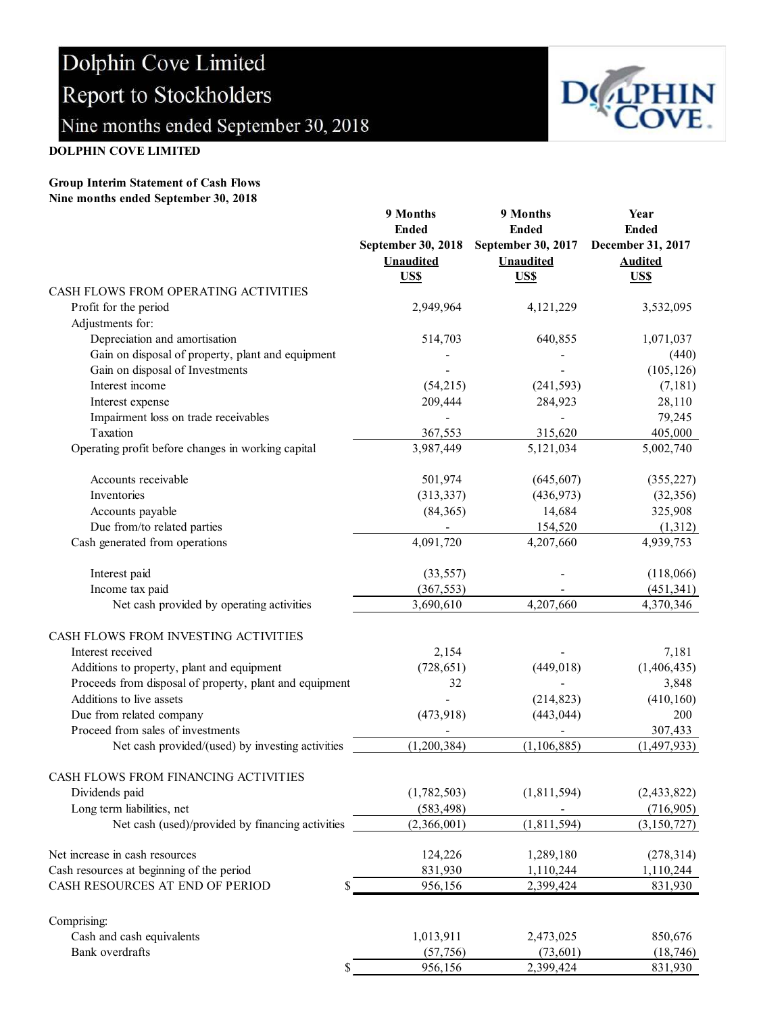

### DOLPHIN COVE LIMITED

#### Group Interim Statement of Cash Flows Nine months ended September 30, 2018

|                                                         | 9 Months           | 9 Months                  | Year              |  |
|---------------------------------------------------------|--------------------|---------------------------|-------------------|--|
|                                                         | <b>Ended</b>       | <b>Ended</b>              | <b>Ended</b>      |  |
|                                                         | September 30, 2018 | <b>September 30, 2017</b> | December 31, 2017 |  |
|                                                         | <b>Unaudited</b>   | <b>Unaudited</b>          | <b>Audited</b>    |  |
|                                                         | US\$               | US\$                      | US\$              |  |
| CASH FLOWS FROM OPERATING ACTIVITIES                    |                    |                           |                   |  |
| Profit for the period                                   | 2,949,964          | 4,121,229                 | 3,532,095         |  |
| Adjustments for:                                        |                    |                           |                   |  |
| Depreciation and amortisation                           | 514,703            | 640,855                   | 1,071,037         |  |
| Gain on disposal of property, plant and equipment       |                    |                           | (440)             |  |
| Gain on disposal of Investments                         |                    |                           | (105, 126)        |  |
| Interest income                                         | (54,215)           | (241, 593)                | (7,181)           |  |
| Interest expense                                        | 209,444            | 284,923                   | 28,110            |  |
| Impairment loss on trade receivables                    |                    |                           | 79,245            |  |
| Taxation                                                | 367,553            | 315,620                   | 405,000           |  |
| Operating profit before changes in working capital      | 3,987,449          | 5,121,034                 | 5,002,740         |  |
|                                                         |                    |                           |                   |  |
| Accounts receivable                                     | 501,974            | (645, 607)                | (355, 227)        |  |
| Inventories                                             | (313, 337)         | (436, 973)                | (32, 356)         |  |
| Accounts payable                                        | (84, 365)          | 14,684                    | 325,908           |  |
| Due from/to related parties                             |                    | 154,520                   | (1,312)           |  |
| Cash generated from operations                          | 4,091,720          | 4,207,660                 | 4,939,753         |  |
|                                                         |                    |                           |                   |  |
| Interest paid                                           | (33, 557)          |                           | (118,066)         |  |
| Income tax paid                                         | (367, 553)         |                           | (451, 341)        |  |
| Net cash provided by operating activities               | 3,690,610          | 4,207,660                 | 4,370,346         |  |
|                                                         |                    |                           |                   |  |
| CASH FLOWS FROM INVESTING ACTIVITIES                    |                    |                           |                   |  |
| Interest received                                       | 2,154              |                           | 7,181             |  |
| Additions to property, plant and equipment              | (728, 651)         | (449, 018)                | (1,406,435)       |  |
| Proceeds from disposal of property, plant and equipment | 32                 |                           | 3,848             |  |
| Additions to live assets                                |                    | (214, 823)                | (410, 160)        |  |
| Due from related company                                | (473, 918)         | (443, 044)                | 200               |  |
| Proceed from sales of investments                       |                    |                           | 307,433           |  |
| Net cash provided/(used) by investing activities        | (1,200,384)        | (1, 106, 885)             | (1,497,933)       |  |
|                                                         |                    |                           |                   |  |
| CASH FLOWS FROM FINANCING ACTIVITIES                    |                    |                           |                   |  |
| Dividends paid                                          | (1,782,503)        | (1,811,594)               | (2, 433, 822)     |  |
| Long term liabilities, net                              | (583, 498)         |                           | (716,905)         |  |
| Net cash (used)/provided by financing activities        | (2,366,001)        | (1,811,594)               | (3, 150, 727)     |  |
|                                                         |                    |                           |                   |  |
| Net increase in cash resources                          | 124,226            | 1,289,180                 | (278, 314)        |  |
| Cash resources at beginning of the period               | 831,930            | 1,110,244                 | 1,110,244         |  |
| CASH RESOURCES AT END OF PERIOD<br>\$                   | 956,156            | 2,399,424                 | 831,930           |  |
|                                                         |                    |                           |                   |  |
| Comprising:                                             |                    |                           |                   |  |
| Cash and cash equivalents                               | 1,013,911          | 2,473,025                 | 850,676           |  |
| Bank overdrafts                                         | (57, 756)          | (73, 601)                 | (18, 746)         |  |
| \$                                                      | 956,156            | 2,399,424                 | 831,930           |  |
|                                                         |                    |                           |                   |  |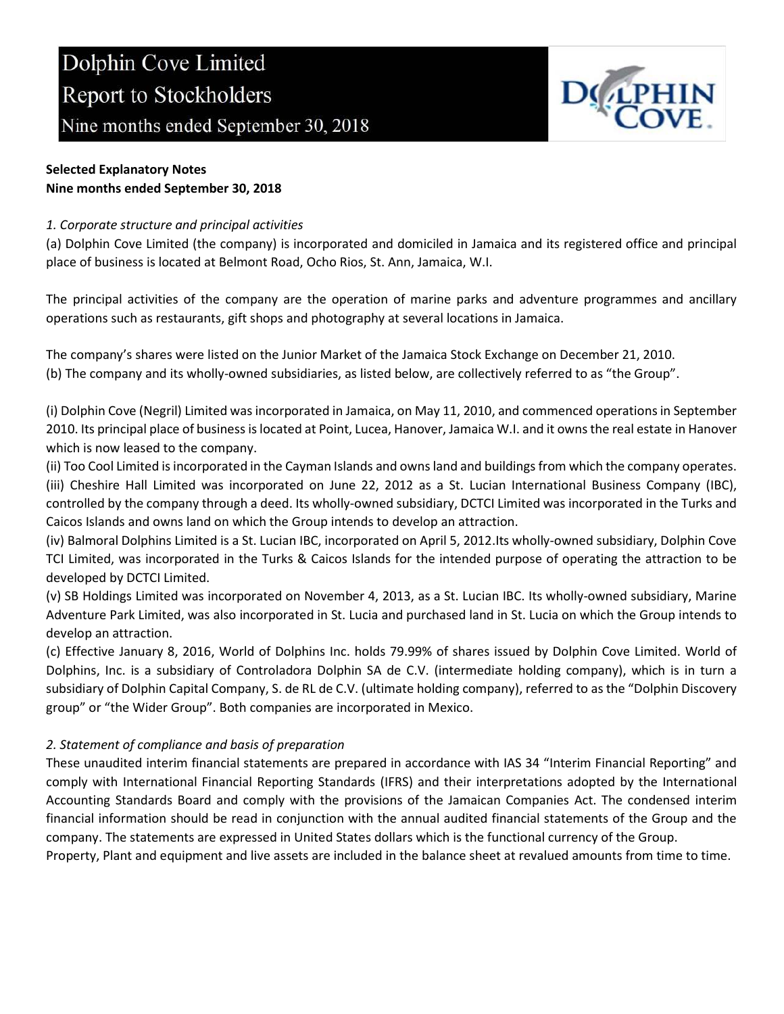

### Selected Explanatory Notes Nine months ended September 30, 2018

### 1. Corporate structure and principal activities

(a) Dolphin Cove Limited (the company) is incorporated and domiciled in Jamaica and its registered office and principal place of business is located at Belmont Road, Ocho Rios, St. Ann, Jamaica, W.I.

The principal activities of the company are the operation of marine parks and adventure programmes and ancillary operations such as restaurants, gift shops and photography at several locations in Jamaica.

The company's shares were listed on the Junior Market of the Jamaica Stock Exchange on December 21, 2010. (b) The company and its wholly-owned subsidiaries, as listed below, are collectively referred to as "the Group".

(i) Dolphin Cove (Negril) Limited was incorporated in Jamaica, on May 11, 2010, and commenced operations in September 2010. Its principal place of business is located at Point, Lucea, Hanover, Jamaica W.I. and it owns the real estate in Hanover which is now leased to the company.

(ii) Too Cool Limited is incorporated in the Cayman Islands and owns land and buildings from which the company operates. (iii) Cheshire Hall Limited was incorporated on June 22, 2012 as a St. Lucian International Business Company (IBC), controlled by the company through a deed. Its wholly-owned subsidiary, DCTCI Limited was incorporated in the Turks and Caicos Islands and owns land on which the Group intends to develop an attraction.

(iv) Balmoral Dolphins Limited is a St. Lucian IBC, incorporated on April 5, 2012.Its wholly-owned subsidiary, Dolphin Cove TCI Limited, was incorporated in the Turks & Caicos Islands for the intended purpose of operating the attraction to be developed by DCTCI Limited.

(v) SB Holdings Limited was incorporated on November 4, 2013, as a St. Lucian IBC. Its wholly-owned subsidiary, Marine Adventure Park Limited, was also incorporated in St. Lucia and purchased land in St. Lucia on which the Group intends to develop an attraction.

(c) Effective January 8, 2016, World of Dolphins Inc. holds 79.99% of shares issued by Dolphin Cove Limited. World of Dolphins, Inc. is a subsidiary of Controladora Dolphin SA de C.V. (intermediate holding company), which is in turn a subsidiary of Dolphin Capital Company, S. de RL de C.V. (ultimate holding company), referred to as the "Dolphin Discovery group" or "the Wider Group". Both companies are incorporated in Mexico.

### 2. Statement of compliance and basis of preparation

These unaudited interim financial statements are prepared in accordance with IAS 34 "Interim Financial Reporting" and comply with International Financial Reporting Standards (IFRS) and their interpretations adopted by the International Accounting Standards Board and comply with the provisions of the Jamaican Companies Act. The condensed interim financial information should be read in conjunction with the annual audited financial statements of the Group and the company. The statements are expressed in United States dollars which is the functional currency of the Group.

Property, Plant and equipment and live assets are included in the balance sheet at revalued amounts from time to time.